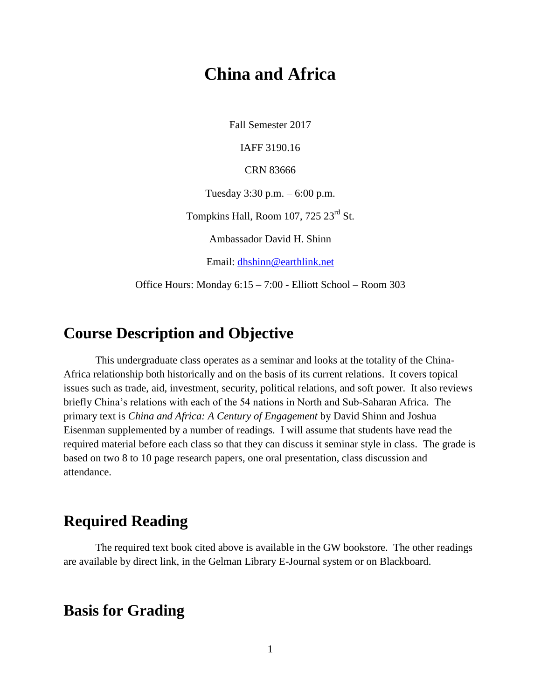# **China and Africa**

Fall Semester 2017

IAFF 3190.16

CRN 83666

Tuesday 3:30 p.m. – 6:00 p.m.

Tompkins Hall, Room 107, 725 23<sup>rd</sup> St.

Ambassador David H. Shinn

Email: [dhshinn@earthlink.net](mailto:dhshinn@earthlink.net)

Office Hours: Monday 6:15 – 7:00 - Elliott School – Room 303

## **Course Description and Objective**

This undergraduate class operates as a seminar and looks at the totality of the China-Africa relationship both historically and on the basis of its current relations. It covers topical issues such as trade, aid, investment, security, political relations, and soft power. It also reviews briefly China's relations with each of the 54 nations in North and Sub-Saharan Africa. The primary text is *China and Africa: A Century of Engagement* by David Shinn and Joshua Eisenman supplemented by a number of readings. I will assume that students have read the required material before each class so that they can discuss it seminar style in class. The grade is based on two 8 to 10 page research papers, one oral presentation, class discussion and attendance.

# **Required Reading**

The required text book cited above is available in the GW bookstore. The other readings are available by direct link, in the Gelman Library E-Journal system or on Blackboard.

## **Basis for Grading**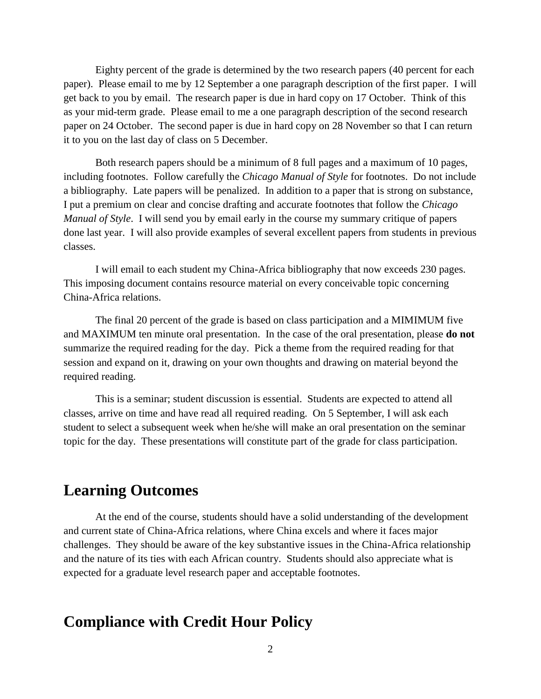Eighty percent of the grade is determined by the two research papers (40 percent for each paper). Please email to me by 12 September a one paragraph description of the first paper. I will get back to you by email. The research paper is due in hard copy on 17 October. Think of this as your mid-term grade. Please email to me a one paragraph description of the second research paper on 24 October. The second paper is due in hard copy on 28 November so that I can return it to you on the last day of class on 5 December.

Both research papers should be a minimum of 8 full pages and a maximum of 10 pages, including footnotes. Follow carefully the *Chicago Manual of Style* for footnotes. Do not include a bibliography. Late papers will be penalized. In addition to a paper that is strong on substance, I put a premium on clear and concise drafting and accurate footnotes that follow the *Chicago Manual of Style*. I will send you by email early in the course my summary critique of papers done last year. I will also provide examples of several excellent papers from students in previous classes.

I will email to each student my China-Africa bibliography that now exceeds 230 pages. This imposing document contains resource material on every conceivable topic concerning China-Africa relations.

The final 20 percent of the grade is based on class participation and a MIMIMUM five and MAXIMUM ten minute oral presentation. In the case of the oral presentation, please **do not** summarize the required reading for the day. Pick a theme from the required reading for that session and expand on it, drawing on your own thoughts and drawing on material beyond the required reading.

This is a seminar; student discussion is essential. Students are expected to attend all classes, arrive on time and have read all required reading. On 5 September, I will ask each student to select a subsequent week when he/she will make an oral presentation on the seminar topic for the day. These presentations will constitute part of the grade for class participation.

# **Learning Outcomes**

At the end of the course, students should have a solid understanding of the development and current state of China-Africa relations, where China excels and where it faces major challenges. They should be aware of the key substantive issues in the China-Africa relationship and the nature of its ties with each African country. Students should also appreciate what is expected for a graduate level research paper and acceptable footnotes.

# **Compliance with Credit Hour Policy**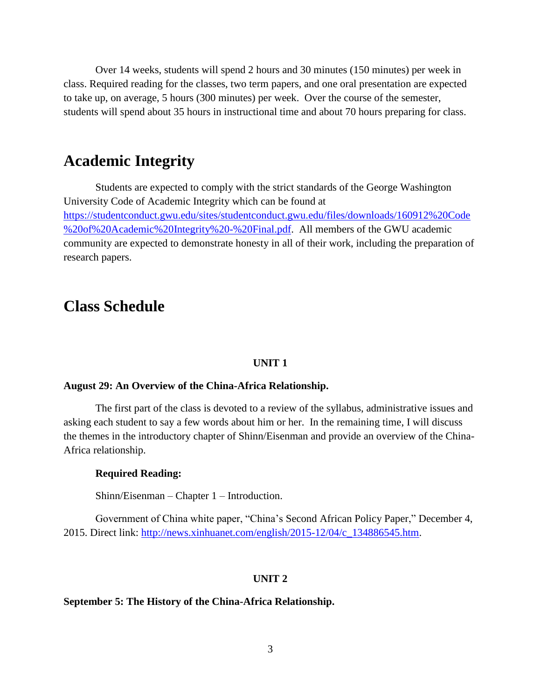Over 14 weeks, students will spend 2 hours and 30 minutes (150 minutes) per week in class. Required reading for the classes, two term papers, and one oral presentation are expected to take up, on average, 5 hours (300 minutes) per week. Over the course of the semester, students will spend about 35 hours in instructional time and about 70 hours preparing for class.

## **Academic Integrity**

Students are expected to comply with the strict standards of the George Washington University Code of Academic Integrity which can be found at [https://studentconduct.gwu.edu/sites/studentconduct.gwu.edu/files/downloads/160912%20Code](https://studentconduct.gwu.edu/sites/studentconduct.gwu.edu/files/downloads/160912%20Code%20of%20Academic%20Integrity%20-%20Final.pdf) [%20of%20Academic%20Integrity%20-%20Final.pdf.](https://studentconduct.gwu.edu/sites/studentconduct.gwu.edu/files/downloads/160912%20Code%20of%20Academic%20Integrity%20-%20Final.pdf) All members of the GWU academic community are expected to demonstrate honesty in all of their work, including the preparation of research papers.

## **Class Schedule**

#### **UNIT 1**

## **August 29: An Overview of the China-Africa Relationship.**

The first part of the class is devoted to a review of the syllabus, administrative issues and asking each student to say a few words about him or her. In the remaining time, I will discuss the themes in the introductory chapter of Shinn/Eisenman and provide an overview of the China-Africa relationship.

## **Required Reading:**

Shinn/Eisenman – Chapter 1 – Introduction.

Government of China white paper, "China's Second African Policy Paper," December 4, 2015. Direct link: [http://news.xinhuanet.com/english/2015-12/04/c\\_134886545.htm.](http://news.xinhuanet.com/english/2015-12/04/c_134886545.htm)

#### **UNIT 2**

### **September 5: The History of the China-Africa Relationship.**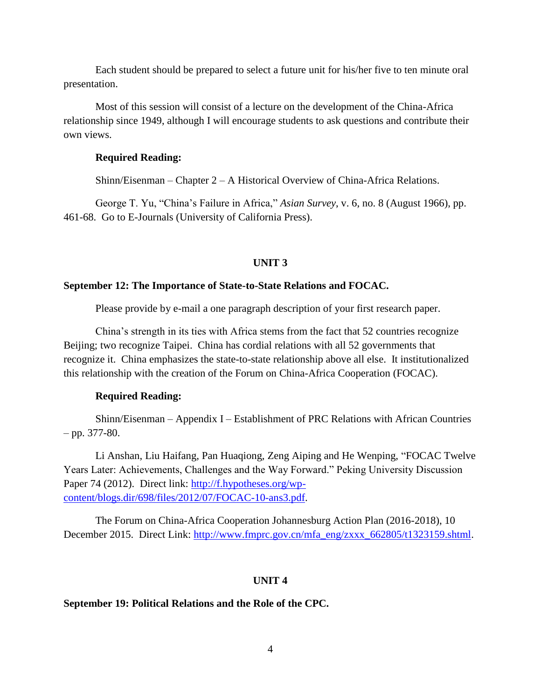Each student should be prepared to select a future unit for his/her five to ten minute oral presentation.

Most of this session will consist of a lecture on the development of the China-Africa relationship since 1949, although I will encourage students to ask questions and contribute their own views.

## **Required Reading:**

Shinn/Eisenman – Chapter  $2 - A$  Historical Overview of China-Africa Relations.

George T. Yu, "China's Failure in Africa," *Asian Survey*, v. 6, no. 8 (August 1966), pp. 461-68. Go to E-Journals (University of California Press).

### **UNIT 3**

### **September 12: The Importance of State-to-State Relations and FOCAC.**

Please provide by e-mail a one paragraph description of your first research paper.

China's strength in its ties with Africa stems from the fact that 52 countries recognize Beijing; two recognize Taipei. China has cordial relations with all 52 governments that recognize it. China emphasizes the state-to-state relationship above all else. It institutionalized this relationship with the creation of the Forum on China-Africa Cooperation (FOCAC).

#### **Required Reading:**

Shinn/Eisenman – Appendix I – Establishment of PRC Relations with African Countries  $-$  pp. 377-80.

Li Anshan, Liu Haifang, Pan Huaqiong, Zeng Aiping and He Wenping, "FOCAC Twelve Years Later: Achievements, Challenges and the Way Forward." Peking University Discussion Paper 74 (2012). Direct link: [http://f.hypotheses.org/wp](http://f.hypotheses.org/wp-content/blogs.dir/698/files/2012/07/FOCAC-10-ans3.pdf)[content/blogs.dir/698/files/2012/07/FOCAC-10-ans3.pdf.](http://f.hypotheses.org/wp-content/blogs.dir/698/files/2012/07/FOCAC-10-ans3.pdf)

The Forum on China-Africa Cooperation Johannesburg Action Plan (2016-2018), 10 December 2015. Direct Link: [http://www.fmprc.gov.cn/mfa\\_eng/zxxx\\_662805/t1323159.shtml.](http://www.fmprc.gov.cn/mfa_eng/zxxx_662805/t1323159.shtml)

#### **UNIT 4**

## **September 19: Political Relations and the Role of the CPC.**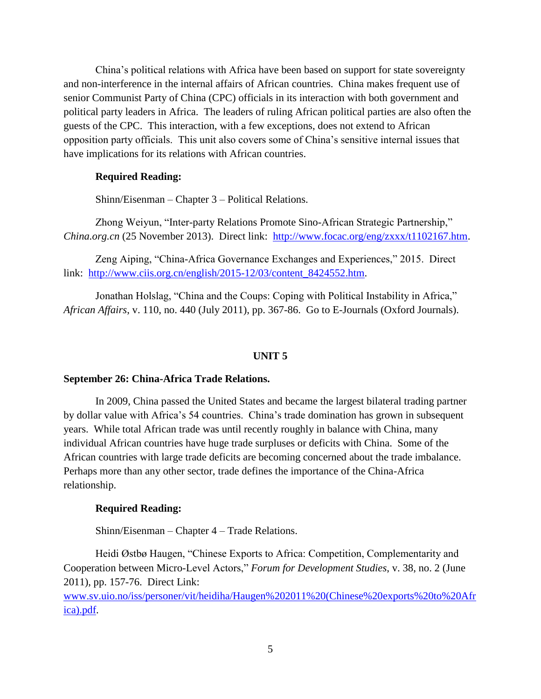China's political relations with Africa have been based on support for state sovereignty and non-interference in the internal affairs of African countries. China makes frequent use of senior Communist Party of China (CPC) officials in its interaction with both government and political party leaders in Africa. The leaders of ruling African political parties are also often the guests of the CPC. This interaction, with a few exceptions, does not extend to African opposition party officials. This unit also covers some of China's sensitive internal issues that have implications for its relations with African countries.

#### **Required Reading:**

Shinn/Eisenman – Chapter 3 – Political Relations.

Zhong Weiyun, "Inter-party Relations Promote Sino-African Strategic Partnership," *China.org.cn* (25 November 2013). Direct link: [http://www.focac.org/eng/zxxx/t1102167.htm.](http://www.focac.org/eng/zxxx/t1102167.htm)

Zeng Aiping, "China-Africa Governance Exchanges and Experiences," 2015. Direct link: [http://www.ciis.org.cn/english/2015-12/03/content\\_8424552.htm.](http://www.ciis.org.cn/english/2015-12/03/content_8424552.htm)

Jonathan Holslag, "China and the Coups: Coping with Political Instability in Africa," *African Affairs*, v. 110, no. 440 (July 2011), pp. 367-86. Go to E-Journals (Oxford Journals).

#### **UNIT 5**

## **September 26: China-Africa Trade Relations.**

In 2009, China passed the United States and became the largest bilateral trading partner by dollar value with Africa's 54 countries. China's trade domination has grown in subsequent years. While total African trade was until recently roughly in balance with China, many individual African countries have huge trade surpluses or deficits with China. Some of the African countries with large trade deficits are becoming concerned about the trade imbalance. Perhaps more than any other sector, trade defines the importance of the China-Africa relationship.

#### **Required Reading:**

Shinn/Eisenman – Chapter 4 – Trade Relations.

Heidi Østbø Haugen, "Chinese Exports to Africa: Competition, Complementarity and Cooperation between Micro-Level Actors," *Forum for Development Studies*, v. 38, no. 2 (June 2011), pp. 157-76. Direct Link:

[www.sv.uio.no/iss/personer/vit/heidiha/Haugen%202011%20\(Chinese%20exports%20to%20Afr](http://www.sv.uio.no/iss/personer/vit/heidiha/Haugen%202011%20(Chinese%20exports%20to%20Africa).pdf) [ica\).pdf.](http://www.sv.uio.no/iss/personer/vit/heidiha/Haugen%202011%20(Chinese%20exports%20to%20Africa).pdf)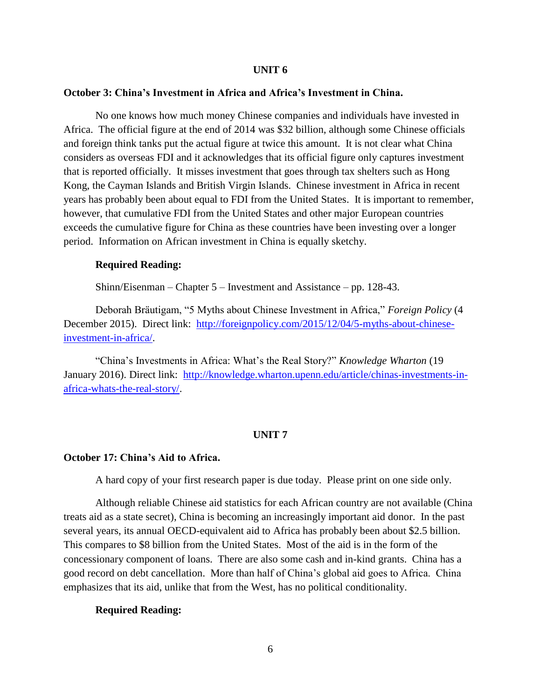### **UNIT 6**

## **October 3: China's Investment in Africa and Africa's Investment in China.**

No one knows how much money Chinese companies and individuals have invested in Africa. The official figure at the end of 2014 was \$32 billion, although some Chinese officials and foreign think tanks put the actual figure at twice this amount. It is not clear what China considers as overseas FDI and it acknowledges that its official figure only captures investment that is reported officially. It misses investment that goes through tax shelters such as Hong Kong, the Cayman Islands and British Virgin Islands. Chinese investment in Africa in recent years has probably been about equal to FDI from the United States. It is important to remember, however, that cumulative FDI from the United States and other major European countries exceeds the cumulative figure for China as these countries have been investing over a longer period. Information on African investment in China is equally sketchy.

## **Required Reading:**

Shinn/Eisenman – Chapter 5 – Investment and Assistance – pp. 128-43.

Deborah Bräutigam, "5 Myths about Chinese Investment in Africa," *Foreign Policy* (4 December 2015). Direct link: [http://foreignpolicy.com/2015/12/04/5-myths-about-chinese](http://foreignpolicy.com/2015/12/04/5-myths-about-chinese-investment-in-africa/)[investment-in-africa/.](http://foreignpolicy.com/2015/12/04/5-myths-about-chinese-investment-in-africa/)

"China's Investments in Africa: What's the Real Story?" *Knowledge Wharton* (19 January 2016). Direct link: [http://knowledge.wharton.upenn.edu/article/chinas-investments-in](http://knowledge.wharton.upenn.edu/article/chinas-investments-in-africa-whats-the-real-story/)[africa-whats-the-real-story/.](http://knowledge.wharton.upenn.edu/article/chinas-investments-in-africa-whats-the-real-story/)

## **UNIT 7**

#### **October 17: China's Aid to Africa.**

A hard copy of your first research paper is due today. Please print on one side only.

Although reliable Chinese aid statistics for each African country are not available (China treats aid as a state secret), China is becoming an increasingly important aid donor. In the past several years, its annual OECD-equivalent aid to Africa has probably been about \$2.5 billion. This compares to \$8 billion from the United States. Most of the aid is in the form of the concessionary component of loans. There are also some cash and in-kind grants. China has a good record on debt cancellation. More than half of China's global aid goes to Africa. China emphasizes that its aid, unlike that from the West, has no political conditionality.

#### **Required Reading:**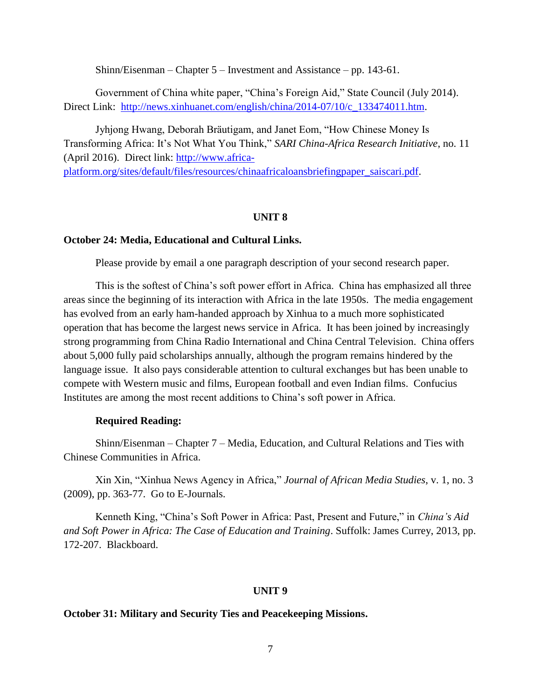Shinn/Eisenman – Chapter 5 – Investment and Assistance – pp. 143-61.

Government of China white paper, "China's Foreign Aid," State Council (July 2014). Direct Link: [http://news.xinhuanet.com/english/china/2014-07/10/c\\_133474011.htm.](http://news.xinhuanet.com/english/china/2014-07/10/c_133474011.htm)

Jyhjong Hwang, Deborah Bräutigam, and Janet Eom, "How Chinese Money Is Transforming Africa: It's Not What You Think," *SARI China-Africa Research Initiative*, no. 11 (April 2016). Direct link: [http://www.africa-](http://www.africa-platform.org/sites/default/files/resources/chinaafricaloansbriefingpaper_saiscari.pdf)

[platform.org/sites/default/files/resources/chinaafricaloansbriefingpaper\\_saiscari.pdf.](http://www.africa-platform.org/sites/default/files/resources/chinaafricaloansbriefingpaper_saiscari.pdf)

#### **UNIT 8**

#### **October 24: Media, Educational and Cultural Links.**

Please provide by email a one paragraph description of your second research paper.

This is the softest of China's soft power effort in Africa. China has emphasized all three areas since the beginning of its interaction with Africa in the late 1950s. The media engagement has evolved from an early ham-handed approach by Xinhua to a much more sophisticated operation that has become the largest news service in Africa. It has been joined by increasingly strong programming from China Radio International and China Central Television. China offers about 5,000 fully paid scholarships annually, although the program remains hindered by the language issue. It also pays considerable attention to cultural exchanges but has been unable to compete with Western music and films, European football and even Indian films. Confucius Institutes are among the most recent additions to China's soft power in Africa.

### **Required Reading:**

Shinn/Eisenman – Chapter 7 – Media, Education, and Cultural Relations and Ties with Chinese Communities in Africa.

Xin Xin, "Xinhua News Agency in Africa," *Journal of African Media Studies*, v. 1, no. 3 (2009), pp. 363-77. Go to E-Journals.

Kenneth King, "China's Soft Power in Africa: Past, Present and Future," in *China's Aid and Soft Power in Africa: The Case of Education and Training*. Suffolk: James Currey, 2013, pp. 172-207. Blackboard.

#### **UNIT 9**

#### **October 31: Military and Security Ties and Peacekeeping Missions.**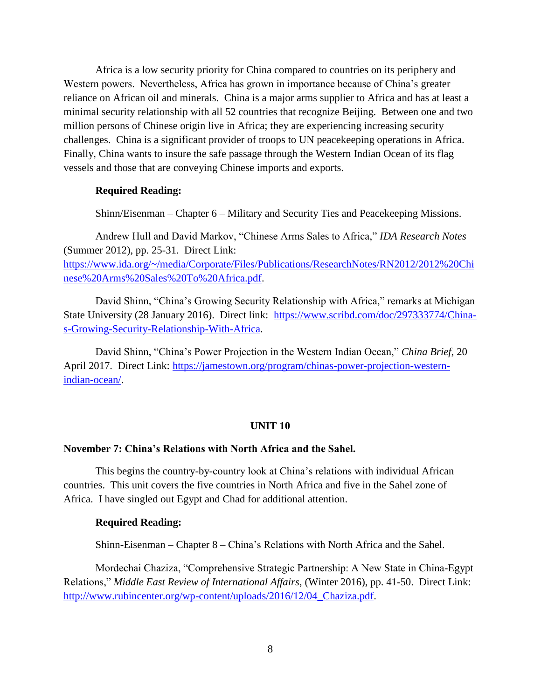Africa is a low security priority for China compared to countries on its periphery and Western powers. Nevertheless, Africa has grown in importance because of China's greater reliance on African oil and minerals. China is a major arms supplier to Africa and has at least a minimal security relationship with all 52 countries that recognize Beijing. Between one and two million persons of Chinese origin live in Africa; they are experiencing increasing security challenges. China is a significant provider of troops to UN peacekeeping operations in Africa. Finally, China wants to insure the safe passage through the Western Indian Ocean of its flag vessels and those that are conveying Chinese imports and exports.

## **Required Reading:**

Shinn/Eisenman – Chapter 6 – Military and Security Ties and Peacekeeping Missions.

Andrew Hull and David Markov, "Chinese Arms Sales to Africa," *IDA Research Notes* (Summer 2012), pp. 25-31. Direct Link: [https://www.ida.org/~/media/Corporate/Files/Publications/ResearchNotes/RN2012/2012%20Chi](https://www.ida.org/~/media/Corporate/Files/Publications/ResearchNotes/RN2012/2012%20Chinese%20Arms%20Sales%20To%20Africa.pdf) [nese%20Arms%20Sales%20To%20Africa.pdf.](https://www.ida.org/~/media/Corporate/Files/Publications/ResearchNotes/RN2012/2012%20Chinese%20Arms%20Sales%20To%20Africa.pdf)

David Shinn, "China's Growing Security Relationship with Africa," remarks at Michigan State University (28 January 2016). Direct link: [https://www.scribd.com/doc/297333774/China](https://www.scribd.com/doc/297333774/China-s-Growing-Security-Relationship-With-Africa)[s-Growing-Security-Relationship-With-Africa.](https://www.scribd.com/doc/297333774/China-s-Growing-Security-Relationship-With-Africa)

David Shinn, "China's Power Projection in the Western Indian Ocean," *China Brief*, 20 April 2017. Direct Link: [https://jamestown.org/program/chinas-power-projection-western](https://jamestown.org/program/chinas-power-projection-western-indian-ocean/)[indian-ocean/.](https://jamestown.org/program/chinas-power-projection-western-indian-ocean/)

#### **UNIT 10**

### **November 7: China's Relations with North Africa and the Sahel.**

This begins the country-by-country look at China's relations with individual African countries. This unit covers the five countries in North Africa and five in the Sahel zone of Africa. I have singled out Egypt and Chad for additional attention.

#### **Required Reading:**

Shinn-Eisenman – Chapter 8 – China's Relations with North Africa and the Sahel.

Mordechai Chaziza, "Comprehensive Strategic Partnership: A New State in China-Egypt Relations," *Middle East Review of International Affairs*, (Winter 2016), pp. 41-50. Direct Link: [http://www.rubincenter.org/wp-content/uploads/2016/12/04\\_Chaziza.pdf.](http://www.rubincenter.org/wp-content/uploads/2016/12/04_Chaziza.pdf)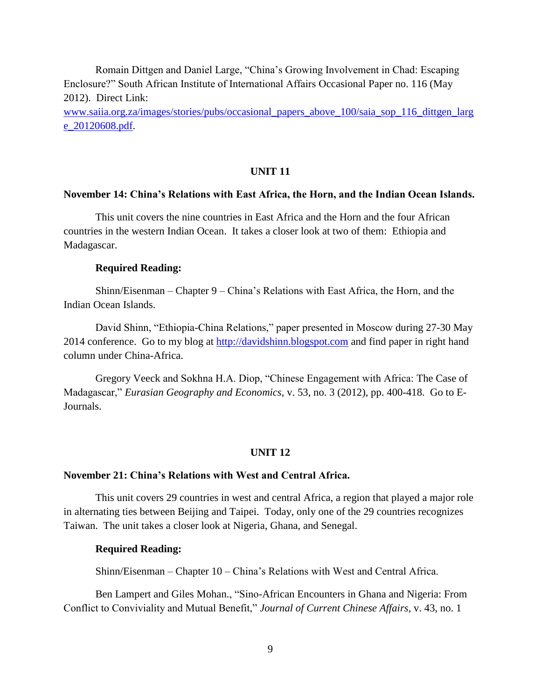Romain Dittgen and Daniel Large, "China's Growing Involvement in Chad: Escaping Enclosure?" South African Institute of International Affairs Occasional Paper no. 116 (May 2012). Direct Link:

[www.saiia.org.za/images/stories/pubs/occasional\\_papers\\_above\\_100/saia\\_sop\\_116\\_dittgen\\_larg](http://www.saiia.org.za/images/stories/pubs/occasional_papers_above_100/saia_sop_116_dittgen_large_20120608.pdf) [e\\_20120608.pdf.](http://www.saiia.org.za/images/stories/pubs/occasional_papers_above_100/saia_sop_116_dittgen_large_20120608.pdf)

## **UNIT 11**

### **November 14: China's Relations with East Africa, the Horn, and the Indian Ocean Islands.**

This unit covers the nine countries in East Africa and the Horn and the four African countries in the western Indian Ocean. It takes a closer look at two of them: Ethiopia and Madagascar.

### **Required Reading:**

Shinn/Eisenman – Chapter 9 – China's Relations with East Africa, the Horn, and the Indian Ocean Islands.

David Shinn, "Ethiopia-China Relations," paper presented in Moscow during 27-30 May 2014 conference. Go to my blog at [http://davidshinn.blogspot.com](http://davidshinn.blogspot.com/) and find paper in right hand column under China-Africa.

Gregory Veeck and Sokhna H.A. Diop, "Chinese Engagement with Africa: The Case of Madagascar," *Eurasian Geography and Economics*, v. 53, no. 3 (2012), pp. 400-418. Go to E-Journals.

#### **UNIT 12**

### **November 21: China's Relations with West and Central Africa.**

This unit covers 29 countries in west and central Africa, a region that played a major role in alternating ties between Beijing and Taipei. Today, only one of the 29 countries recognizes Taiwan. The unit takes a closer look at Nigeria, Ghana, and Senegal.

## **Required Reading:**

Shinn/Eisenman – Chapter 10 – China's Relations with West and Central Africa.

Ben Lampert and Giles Mohan., "Sino-African Encounters in Ghana and Nigeria: From Conflict to Conviviality and Mutual Benefit," *Journal of Current Chinese Affairs*, v. 43, no. 1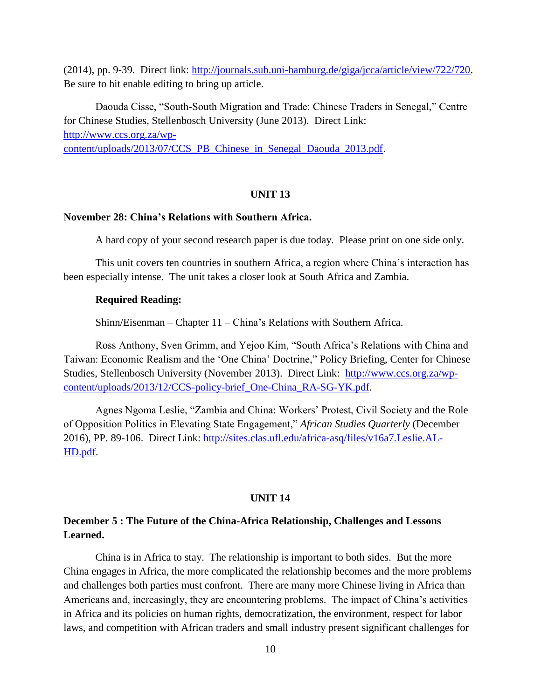(2014), pp. 9-39. Direct link: [http://journals.sub.uni-hamburg.de/giga/jcca/article/view/722/720.](http://journals.sub.uni-hamburg.de/giga/jcca/article/view/722/720) Be sure to hit enable editing to bring up article.

Daouda Cisse, "South-South Migration and Trade: Chinese Traders in Senegal," Centre for Chinese Studies, Stellenbosch University (June 2013). Direct Link: [http://www.ccs.org.za/wp](http://www.ccs.org.za/wp-content/uploads/2013/07/CCS_PB_Chinese_in_Senegal_Daouda_2013.pdf)[content/uploads/2013/07/CCS\\_PB\\_Chinese\\_in\\_Senegal\\_Daouda\\_2013.pdf.](http://www.ccs.org.za/wp-content/uploads/2013/07/CCS_PB_Chinese_in_Senegal_Daouda_2013.pdf)

## **UNIT 13**

#### **November 28: China's Relations with Southern Africa.**

A hard copy of your second research paper is due today. Please print on one side only.

This unit covers ten countries in southern Africa, a region where China's interaction has been especially intense. The unit takes a closer look at South Africa and Zambia.

#### **Required Reading:**

Shinn/Eisenman – Chapter 11 – China's Relations with Southern Africa.

Ross Anthony, Sven Grimm, and Yejoo Kim, "South Africa's Relations with China and Taiwan: Economic Realism and the 'One China' Doctrine," Policy Briefing, Center for Chinese Studies, Stellenbosch University (November 2013). Direct Link: [http://www.ccs.org.za/wp](http://www.ccs.org.za/wp-content/uploads/2013/12/CCS-policy-brief_One-China_RA-SG-YK.pdf)[content/uploads/2013/12/CCS-policy-brief\\_One-China\\_RA-SG-YK.pdf.](http://www.ccs.org.za/wp-content/uploads/2013/12/CCS-policy-brief_One-China_RA-SG-YK.pdf)

Agnes Ngoma Leslie, "Zambia and China: Workers' Protest, Civil Society and the Role of Opposition Politics in Elevating State Engagement," *African Studies Quarterly* (December 2016), PP. 89-106. Direct Link: [http://sites.clas.ufl.edu/africa-asq/files/v16a7.Leslie.AL-](http://sites.clas.ufl.edu/africa-asq/files/v16a7.Leslie.AL-HD.pdf)[HD.pdf.](http://sites.clas.ufl.edu/africa-asq/files/v16a7.Leslie.AL-HD.pdf)

## **UNIT 14**

## **December 5 : The Future of the China-Africa Relationship, Challenges and Lessons Learned.**

China is in Africa to stay. The relationship is important to both sides. But the more China engages in Africa, the more complicated the relationship becomes and the more problems and challenges both parties must confront. There are many more Chinese living in Africa than Americans and, increasingly, they are encountering problems. The impact of China's activities in Africa and its policies on human rights, democratization, the environment, respect for labor laws, and competition with African traders and small industry present significant challenges for